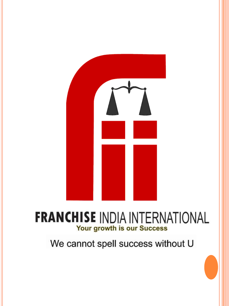

# **FRANCHISE INDIA INTERNATIONAL** Your growth is our Success

We cannot spell success without U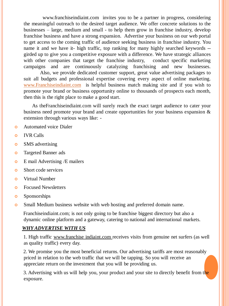www.franchiseindiaint.com invites you to be a partner in progress, considering the meaningful outreach to the desired target audience. We offer concrete solutions to the businesses – large, medium and small - to help them grow in franchise industry, develop franchise business and have a strong expansion. Advertise your business on our web portal to get access to the coming traffic of audience seeking business in franchise industry. You name it and we have it- high traffic, top ranking for many highly searched keywords - girded up to give you a competitive exposure with a difference. We have strategic alliances with other companies that target the franchise industry, conduct specific marketing campaigns and are continuously catalyzing franchising and new businesses.

Also, we provide dedicated customer support, great value advertising packages to suit all budgets and professional expertise covering every aspect of online marketing. [www.Franchiseindiaint.com](http://www.franchiseindiaint.com/) is helpful business match making site and if you wish to promote your brand or business opportunity online to thousands of prospects each month, then this is the right place to make a good start.

As theFranchiseindiaint.com will surely reach the exact target audience to cater your business need promote your brand and create opportunities for your business expansion  $\&$ extension through various ways like: -

- **o** Automated voice Dialer
- **o** IVR Calls
- **o** SMS advertising
- **o** Targeted Banner ads
- **o** E mail Advertising /E mailers
- **o** Short code services
- Virtual Number
- **o** Focused Newsletters
- **o** Sponsorships
- **S** Small Medium business website with web hosting and preferred domain name.

Franchiseindiaint.com; is not only going to be franchise biggest directory but also a dynamic online platform and a gateway, catering to national and international markets.

#### *WHY ADVERTISE WITH US*

1. High traffic www.franchise indiaint.com receives visits from genuine net surfers (as well as quality traffic) every day.

2. We promise you the most beneficial returns. Our advertising tariffs are most reasonably priced in relation to the web traffic that we will be tapping. So you will receive an appreciate return on the investment that you will be providing us.

3. Advertising with us will help you, your product and your site to directly benefit from the exposure.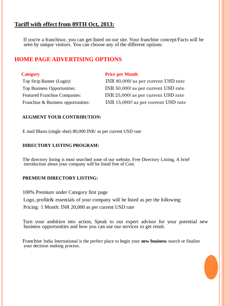## **Tariff with effect from 09TH Oct, 2013:**

If you're a franchisor, you can get listed on our site. Your franchise concept/Facts will be seen by unique visitors. You can choose any of the different options:

### **HOME PAGE ADVERTISING OPTIONS**

| <b>Category</b>                      | <b>Price per Month</b>               |
|--------------------------------------|--------------------------------------|
| Top Strip Banner (Login):            | INR 80,000/ as per current USD rate  |
| <b>Top Business Opportunities:</b>   | INR 50,000/ as per current USD rate  |
| <b>Featured Franchise Companies:</b> | INR 25,000/ as per current USD rate  |
| Franchise & Business opportunities:  | INR 15,000// as per current USD rate |

#### **AUGMENT YOUR CONTRIBUTION:**

E mail Blasts (single shot) 80,000 INR/ as per current USD rate

#### **DIRECTORY LISTING PROGRAM:**

The directory listing is most searched zone of our website, Free Directory Listing, A brief introduction about your company will be listed free of Cost.

#### **PREMIUM DIRECTORY LISTING:**

100% Premium under Category first page

Logo, profile & essentials of your company will be listed as per the following:

Pricing: 1 Month: INR 20,000 as per current USD rate

Turn your ambition into action, Speak to our expert advisor for your potential new business opportunities and how you can use our services to get result.

Franchise India International is the perfect place to begin your **new business** search or finalize your decision making process.